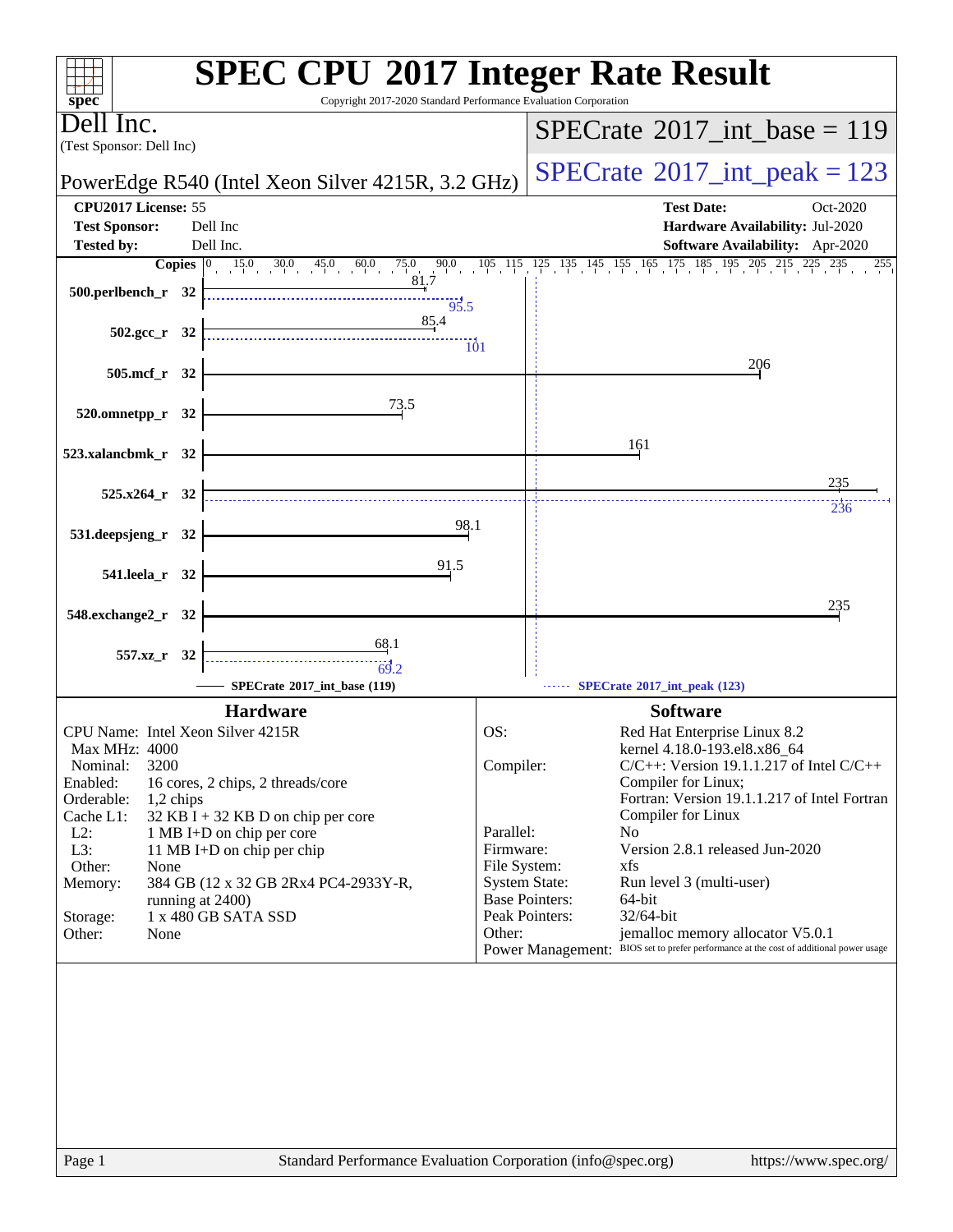| $spec^*$                                                                                                                                                                                                                                                                                                                                                                                                                            | <b>SPEC CPU®2017 Integer Rate Result</b><br>Copyright 2017-2020 Standard Performance Evaluation Corporation                                                                                                                                                                                                                                                                                                                                                                                                                                                                                        |
|-------------------------------------------------------------------------------------------------------------------------------------------------------------------------------------------------------------------------------------------------------------------------------------------------------------------------------------------------------------------------------------------------------------------------------------|----------------------------------------------------------------------------------------------------------------------------------------------------------------------------------------------------------------------------------------------------------------------------------------------------------------------------------------------------------------------------------------------------------------------------------------------------------------------------------------------------------------------------------------------------------------------------------------------------|
| Dell Inc.<br>(Test Sponsor: Dell Inc)                                                                                                                                                                                                                                                                                                                                                                                               | $SPECrate^{\circ}2017\_int\_base = 119$                                                                                                                                                                                                                                                                                                                                                                                                                                                                                                                                                            |
| PowerEdge R540 (Intel Xeon Silver 4215R, 3.2 GHz)                                                                                                                                                                                                                                                                                                                                                                                   | $SPECTate@2017_int\_peak = 123$                                                                                                                                                                                                                                                                                                                                                                                                                                                                                                                                                                    |
| CPU2017 License: 55<br><b>Test Sponsor:</b><br>Dell Inc<br>Dell Inc.<br><b>Tested by:</b><br>$15.0$ $30.0$ $45.0$ $60.0$ $75.0$ $90.0$<br>Copies $ 0\rangle$                                                                                                                                                                                                                                                                        | <b>Test Date:</b><br>Oct-2020<br>Hardware Availability: Jul-2020<br>Software Availability: Apr-2020<br>125 135 145 155 165 175 185 195 205 215 225 235<br>$105$ , $115$<br>255                                                                                                                                                                                                                                                                                                                                                                                                                     |
| 81.7<br>500.perlbench_r 32<br>95.5<br>85.4<br>$502.\text{gcc}_r$ 32                                                                                                                                                                                                                                                                                                                                                                 | $\overline{10}1$                                                                                                                                                                                                                                                                                                                                                                                                                                                                                                                                                                                   |
| 505.mcf_r 32<br>73.5                                                                                                                                                                                                                                                                                                                                                                                                                | 206                                                                                                                                                                                                                                                                                                                                                                                                                                                                                                                                                                                                |
| 520.omnetpp_r 32<br>523.xalancbmk_r 32                                                                                                                                                                                                                                                                                                                                                                                              | 161                                                                                                                                                                                                                                                                                                                                                                                                                                                                                                                                                                                                |
| $525.x264$ r 32                                                                                                                                                                                                                                                                                                                                                                                                                     | 235                                                                                                                                                                                                                                                                                                                                                                                                                                                                                                                                                                                                |
| 98.1<br>531.deepsjeng_r 32                                                                                                                                                                                                                                                                                                                                                                                                          | 236                                                                                                                                                                                                                                                                                                                                                                                                                                                                                                                                                                                                |
| 91.5<br>541.leela_r 32                                                                                                                                                                                                                                                                                                                                                                                                              |                                                                                                                                                                                                                                                                                                                                                                                                                                                                                                                                                                                                    |
| 548.exchange2_r 32<br>68.1<br>557.xz_r 32<br>69.2<br>SPECrate®2017_int_base (119)                                                                                                                                                                                                                                                                                                                                                   | 235<br>SPECrate®2017_int_peak (123)                                                                                                                                                                                                                                                                                                                                                                                                                                                                                                                                                                |
| <b>Hardware</b>                                                                                                                                                                                                                                                                                                                                                                                                                     | <b>Software</b>                                                                                                                                                                                                                                                                                                                                                                                                                                                                                                                                                                                    |
| CPU Name: Intel Xeon Silver 4215R<br>Max MHz: 4000<br>3200<br>Nominal:<br>Enabled:<br>16 cores, 2 chips, 2 threads/core<br>Orderable:<br>$1,2$ chips<br>Cache L1:<br>$32$ KB I + 32 KB D on chip per core<br>$L2$ :<br>1 MB I+D on chip per core<br>L3:<br>11 MB I+D on chip per chip<br>Other:<br>None<br>Memory:<br>384 GB (12 x 32 GB 2Rx4 PC4-2933Y-R,<br>running at 2400)<br>1 x 480 GB SATA SSD<br>Storage:<br>Other:<br>None | OS:<br>Red Hat Enterprise Linux 8.2<br>kernel 4.18.0-193.el8.x86_64<br>$C/C++$ : Version 19.1.1.217 of Intel $C/C++$<br>Compiler:<br>Compiler for Linux;<br>Fortran: Version 19.1.1.217 of Intel Fortran<br>Compiler for Linux<br>Parallel:<br>N <sub>0</sub><br>Version 2.8.1 released Jun-2020<br>Firmware:<br>File System:<br>xfs<br><b>System State:</b><br>Run level 3 (multi-user)<br><b>Base Pointers:</b><br>64-bit<br>Peak Pointers:<br>32/64-bit<br>jemalloc memory allocator V5.0.1<br>Other:<br>Power Management: BIOS set to prefer performance at the cost of additional power usage |
|                                                                                                                                                                                                                                                                                                                                                                                                                                     |                                                                                                                                                                                                                                                                                                                                                                                                                                                                                                                                                                                                    |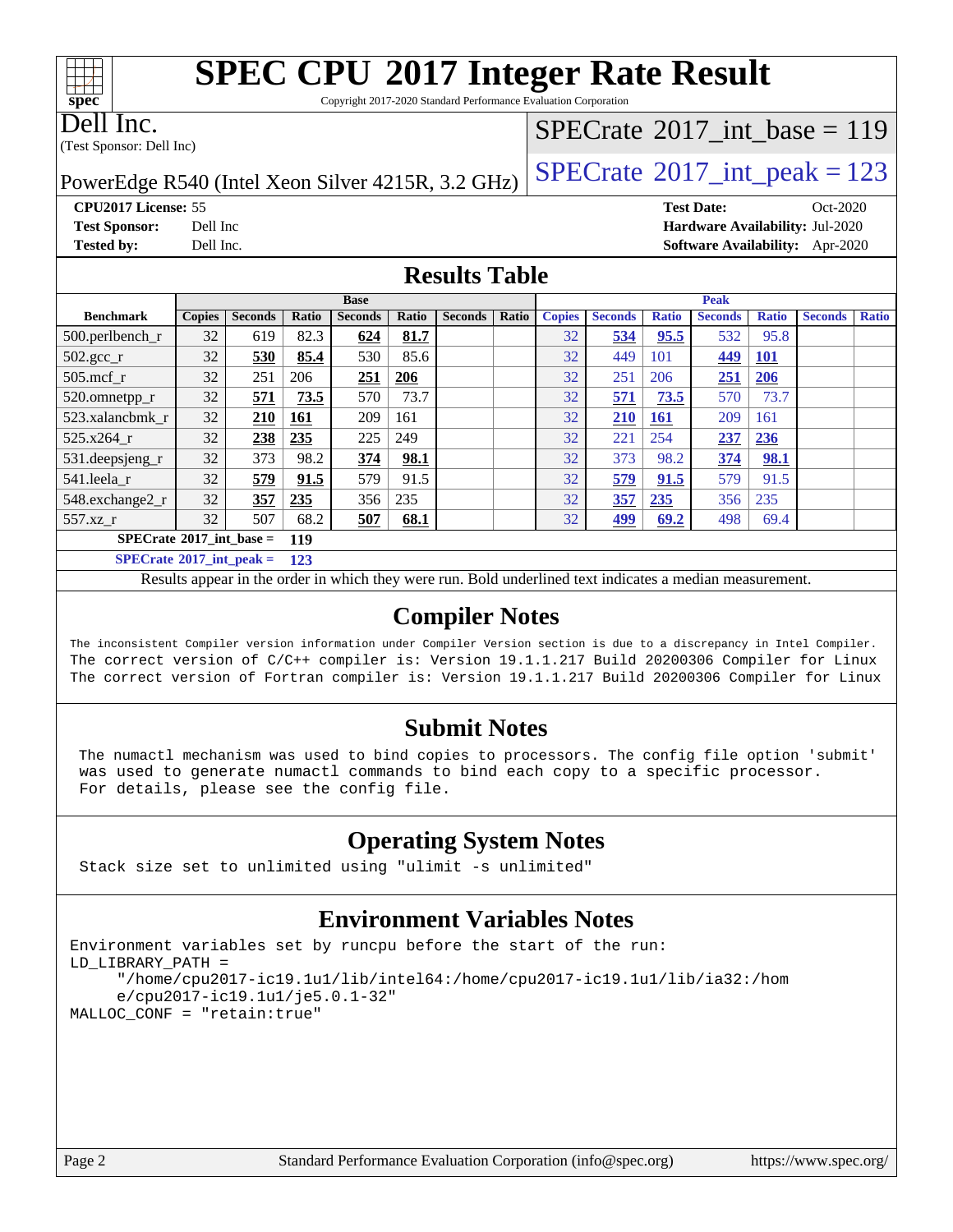Copyright 2017-2020 Standard Performance Evaluation Corporation

Dell Inc.

**[spec](http://www.spec.org/)**

 $\pm\pm\sqrt{2}$ 

(Test Sponsor: Dell Inc)

### $SPECTate@2017_int\_base = 119$

PowerEdge R540 (Intel Xeon Silver 4215R, 3.2 GHz)  $\left|$  [SPECrate](http://www.spec.org/auto/cpu2017/Docs/result-fields.html#SPECrate2017intpeak)<sup>®</sup>[2017\\_int\\_peak = 1](http://www.spec.org/auto/cpu2017/Docs/result-fields.html#SPECrate2017intpeak)23

**[CPU2017 License:](http://www.spec.org/auto/cpu2017/Docs/result-fields.html#CPU2017License)** 55 **[Test Date:](http://www.spec.org/auto/cpu2017/Docs/result-fields.html#TestDate)** Oct-2020 **[Test Sponsor:](http://www.spec.org/auto/cpu2017/Docs/result-fields.html#TestSponsor)** Dell Inc **[Hardware Availability:](http://www.spec.org/auto/cpu2017/Docs/result-fields.html#HardwareAvailability)** Jul-2020 **[Tested by:](http://www.spec.org/auto/cpu2017/Docs/result-fields.html#Testedby)** Dell Inc. **[Software Availability:](http://www.spec.org/auto/cpu2017/Docs/result-fields.html#SoftwareAvailability)** Apr-2020

#### **[Results Table](http://www.spec.org/auto/cpu2017/Docs/result-fields.html#ResultsTable)**

|                                          | <b>Base</b>   |                |            |                |       | <b>Peak</b>    |       |               |                |              |                |              |                |              |
|------------------------------------------|---------------|----------------|------------|----------------|-------|----------------|-------|---------------|----------------|--------------|----------------|--------------|----------------|--------------|
| <b>Benchmark</b>                         | <b>Copies</b> | <b>Seconds</b> | Ratio      | <b>Seconds</b> | Ratio | <b>Seconds</b> | Ratio | <b>Copies</b> | <b>Seconds</b> | <b>Ratio</b> | <b>Seconds</b> | <b>Ratio</b> | <b>Seconds</b> | <b>Ratio</b> |
| $500.$ perlbench_r                       | 32            | 619            | 82.3       | 624            | 81.7  |                |       | 32            | 534            | 95.5         | 532            | 95.8         |                |              |
| $502.\text{sec}$                         | 32            | 530            | 85.4       | 530            | 85.6  |                |       | 32            | 449            | 101          | <u>449</u>     | <u>101</u>   |                |              |
| $505$ .mcf r                             | 32            | 251            | 206        | 251            | 206   |                |       | 32            | 251            | 206          | 251            | 206          |                |              |
| 520.omnetpp_r                            | 32            | 571            | 73.5       | 570            | 73.7  |                |       | 32            | 571            | 73.5         | 570            | 73.7         |                |              |
| 523.xalancbmk r                          | 32            | <u>210</u>     | <u>161</u> | 209            | 161   |                |       | 32            | <u>210</u>     | <u>161</u>   | 209            | 161          |                |              |
| 525.x264 r                               | 32            | 238            | 235        | 225            | 249   |                |       | 32            | 221            | 254          | 237            | 236          |                |              |
| 531.deepsjeng_r                          | 32            | 373            | 98.2       | 374            | 98.1  |                |       | 32            | 373            | 98.2         | <u>374</u>     | 98.1         |                |              |
| 541.leela r                              | 32            | 579            | 91.5       | 579            | 91.5  |                |       | 32            | 579            | 91.5         | 579            | 91.5         |                |              |
| 548.exchange2_r                          | 32            | 357            | 235        | 356            | 235   |                |       | 32            | 357            | 235          | 356            | 235          |                |              |
| 557.xz r                                 | 32            | 507            | 68.2       | 507            | 68.1  |                |       | 32            | <u>499</u>     | 69.2         | 498            | 69.4         |                |              |
| $SPECrate^{\circ}2017$ int base =<br>119 |               |                |            |                |       |                |       |               |                |              |                |              |                |              |
| $SPECrate^*2017\_int\_peak =$            |               |                | 123        |                |       |                |       |               |                |              |                |              |                |              |

Results appear in the [order in which they were run.](http://www.spec.org/auto/cpu2017/Docs/result-fields.html#RunOrder) Bold underlined text [indicates a median measurement.](http://www.spec.org/auto/cpu2017/Docs/result-fields.html#Median)

#### **[Compiler Notes](http://www.spec.org/auto/cpu2017/Docs/result-fields.html#CompilerNotes)**

The inconsistent Compiler version information under Compiler Version section is due to a discrepancy in Intel Compiler. The correct version of C/C++ compiler is: Version 19.1.1.217 Build 20200306 Compiler for Linux The correct version of Fortran compiler is: Version 19.1.1.217 Build 20200306 Compiler for Linux

#### **[Submit Notes](http://www.spec.org/auto/cpu2017/Docs/result-fields.html#SubmitNotes)**

 The numactl mechanism was used to bind copies to processors. The config file option 'submit' was used to generate numactl commands to bind each copy to a specific processor. For details, please see the config file.

### **[Operating System Notes](http://www.spec.org/auto/cpu2017/Docs/result-fields.html#OperatingSystemNotes)**

Stack size set to unlimited using "ulimit -s unlimited"

### **[Environment Variables Notes](http://www.spec.org/auto/cpu2017/Docs/result-fields.html#EnvironmentVariablesNotes)**

```
Environment variables set by runcpu before the start of the run:
LD_LIBRARY_PATH =
      "/home/cpu2017-ic19.1u1/lib/intel64:/home/cpu2017-ic19.1u1/lib/ia32:/hom
      e/cpu2017-ic19.1u1/je5.0.1-32"
MALLOC_CONF = "retain:true"
```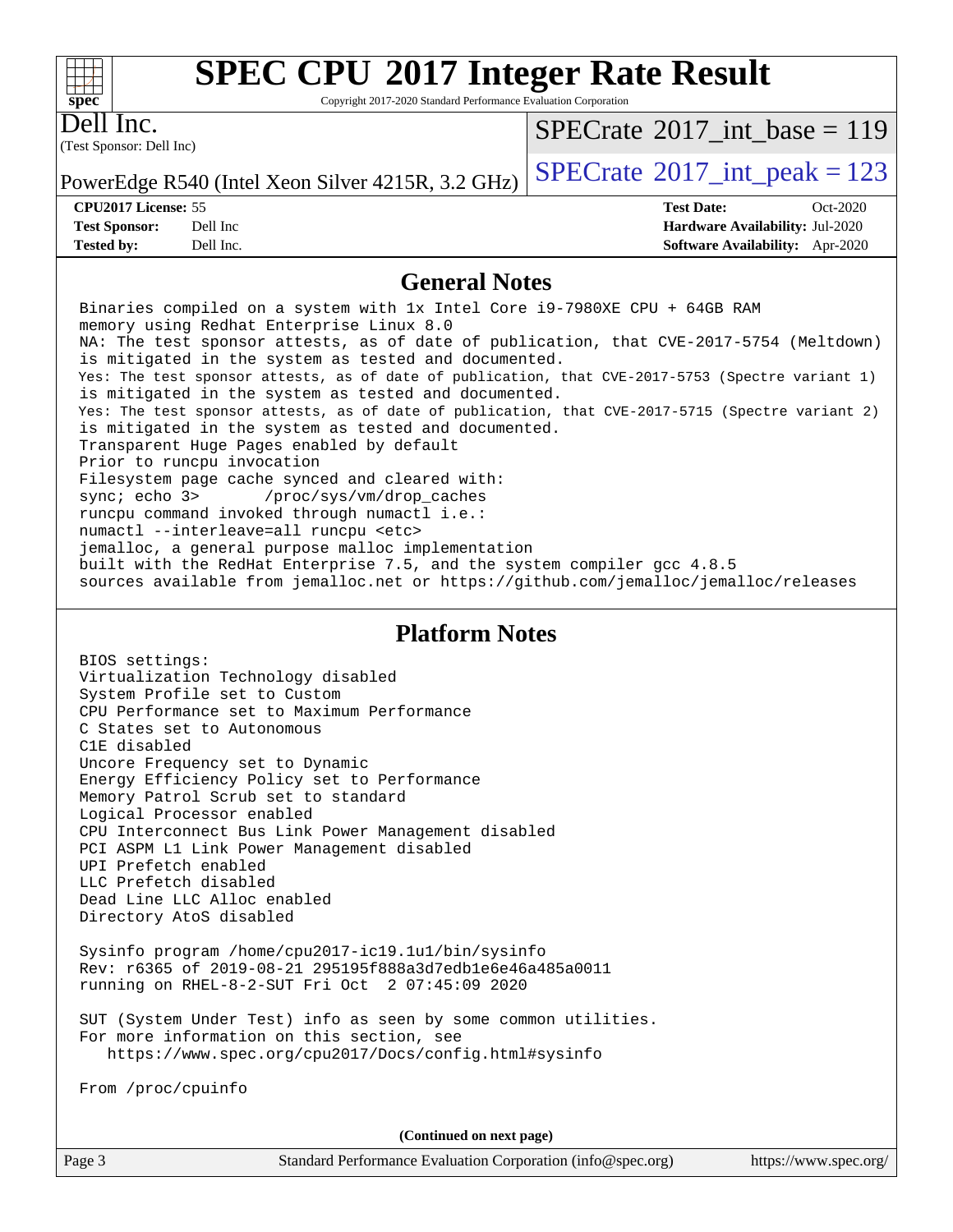#### $+\ +$ **[spec](http://www.spec.org/)**

# **[SPEC CPU](http://www.spec.org/auto/cpu2017/Docs/result-fields.html#SPECCPU2017IntegerRateResult)[2017 Integer Rate Result](http://www.spec.org/auto/cpu2017/Docs/result-fields.html#SPECCPU2017IntegerRateResult)**

Copyright 2017-2020 Standard Performance Evaluation Corporation

(Test Sponsor: Dell Inc) Dell Inc.

 $SPECrate$ <sup>®</sup>[2017\\_int\\_base =](http://www.spec.org/auto/cpu2017/Docs/result-fields.html#SPECrate2017intbase) 119

PowerEdge R540 (Intel Xeon Silver 4215R, 3.2 GHz)  $\left|$  [SPECrate](http://www.spec.org/auto/cpu2017/Docs/result-fields.html#SPECrate2017intpeak)<sup>®</sup>[2017\\_int\\_peak = 1](http://www.spec.org/auto/cpu2017/Docs/result-fields.html#SPECrate2017intpeak)23

**[CPU2017 License:](http://www.spec.org/auto/cpu2017/Docs/result-fields.html#CPU2017License)** 55 **[Test Date:](http://www.spec.org/auto/cpu2017/Docs/result-fields.html#TestDate)** Oct-2020 **[Test Sponsor:](http://www.spec.org/auto/cpu2017/Docs/result-fields.html#TestSponsor)** Dell Inc **[Hardware Availability:](http://www.spec.org/auto/cpu2017/Docs/result-fields.html#HardwareAvailability)** Jul-2020 **[Tested by:](http://www.spec.org/auto/cpu2017/Docs/result-fields.html#Testedby)** Dell Inc. **[Software Availability:](http://www.spec.org/auto/cpu2017/Docs/result-fields.html#SoftwareAvailability)** Apr-2020

#### **[General Notes](http://www.spec.org/auto/cpu2017/Docs/result-fields.html#GeneralNotes)**

 Binaries compiled on a system with 1x Intel Core i9-7980XE CPU + 64GB RAM memory using Redhat Enterprise Linux 8.0 NA: The test sponsor attests, as of date of publication, that CVE-2017-5754 (Meltdown) is mitigated in the system as tested and documented. Yes: The test sponsor attests, as of date of publication, that CVE-2017-5753 (Spectre variant 1) is mitigated in the system as tested and documented. Yes: The test sponsor attests, as of date of publication, that CVE-2017-5715 (Spectre variant 2) is mitigated in the system as tested and documented. Transparent Huge Pages enabled by default Prior to runcpu invocation Filesystem page cache synced and cleared with: sync; echo 3> /proc/sys/vm/drop\_caches runcpu command invoked through numactl i.e.: numactl --interleave=all runcpu <etc> jemalloc, a general purpose malloc implementation built with the RedHat Enterprise 7.5, and the system compiler gcc 4.8.5 sources available from jemalloc.net or<https://github.com/jemalloc/jemalloc/releases> **[Platform Notes](http://www.spec.org/auto/cpu2017/Docs/result-fields.html#PlatformNotes)**

 BIOS settings: Virtualization Technology disabled System Profile set to Custom CPU Performance set to Maximum Performance C States set to Autonomous C1E disabled Uncore Frequency set to Dynamic Energy Efficiency Policy set to Performance Memory Patrol Scrub set to standard Logical Processor enabled CPU Interconnect Bus Link Power Management disabled PCI ASPM L1 Link Power Management disabled UPI Prefetch enabled LLC Prefetch disabled Dead Line LLC Alloc enabled Directory AtoS disabled

 Sysinfo program /home/cpu2017-ic19.1u1/bin/sysinfo Rev: r6365 of 2019-08-21 295195f888a3d7edb1e6e46a485a0011 running on RHEL-8-2-SUT Fri Oct 2 07:45:09 2020

 SUT (System Under Test) info as seen by some common utilities. For more information on this section, see <https://www.spec.org/cpu2017/Docs/config.html#sysinfo>

From /proc/cpuinfo

**(Continued on next page)**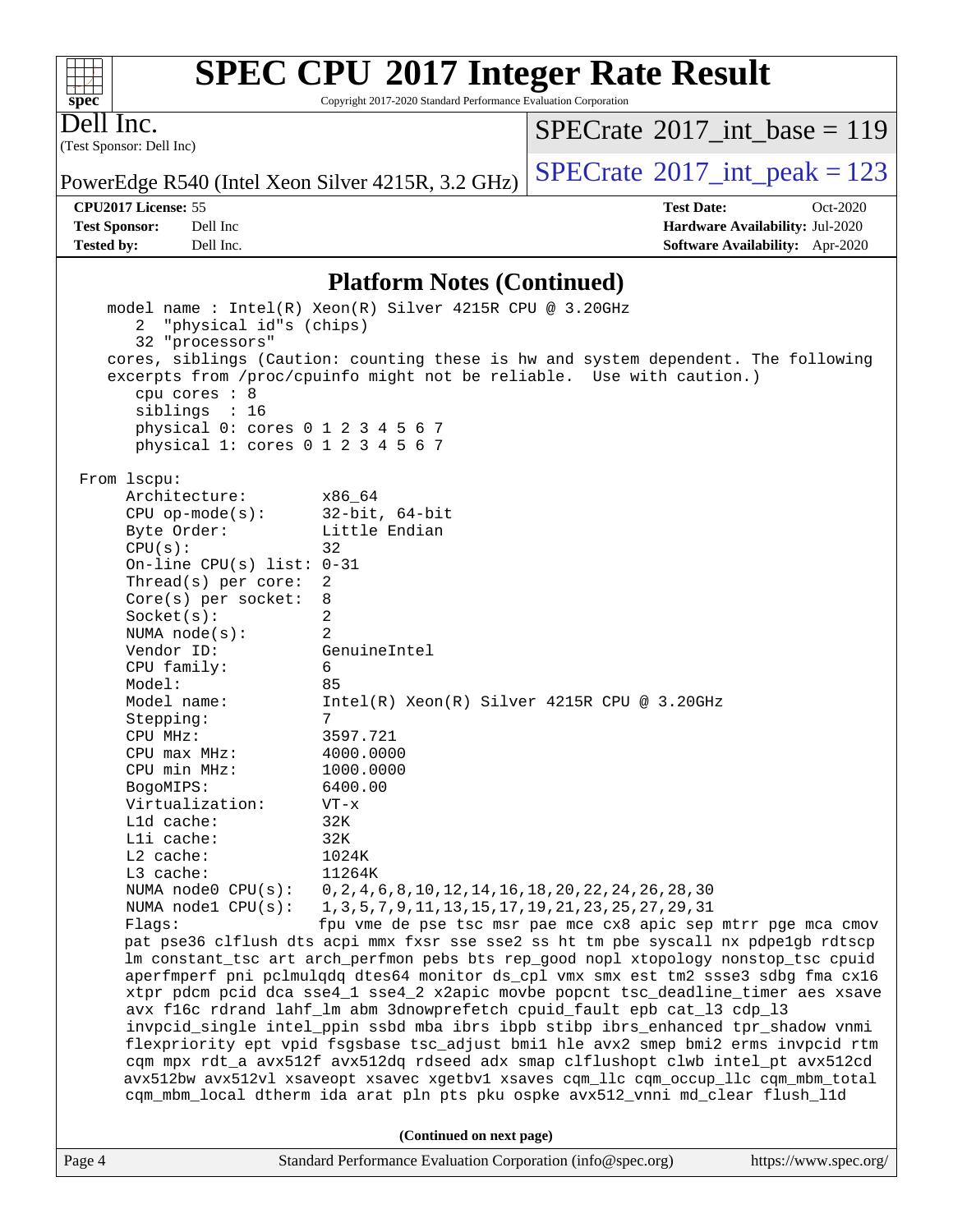Copyright 2017-2020 Standard Performance Evaluation Corporation

(Test Sponsor: Dell Inc) Dell Inc.

**[spec](http://www.spec.org/)**

 $+\!\!+\!\!$ 

 $SPECTate$ <sup>®</sup>[2017\\_int\\_base =](http://www.spec.org/auto/cpu2017/Docs/result-fields.html#SPECrate2017intbase) 119

PowerEdge R540 (Intel Xeon Silver 4215R, 3.2 GHz)  $\left|$  [SPECrate](http://www.spec.org/auto/cpu2017/Docs/result-fields.html#SPECrate2017intpeak)<sup>®</sup>[2017\\_int\\_peak = 1](http://www.spec.org/auto/cpu2017/Docs/result-fields.html#SPECrate2017intpeak)23

**[Tested by:](http://www.spec.org/auto/cpu2017/Docs/result-fields.html#Testedby)** Dell Inc. **[Software Availability:](http://www.spec.org/auto/cpu2017/Docs/result-fields.html#SoftwareAvailability)** Apr-2020

**[CPU2017 License:](http://www.spec.org/auto/cpu2017/Docs/result-fields.html#CPU2017License)** 55 **[Test Date:](http://www.spec.org/auto/cpu2017/Docs/result-fields.html#TestDate)** Oct-2020 **[Test Sponsor:](http://www.spec.org/auto/cpu2017/Docs/result-fields.html#TestSponsor)** Dell Inc **[Hardware Availability:](http://www.spec.org/auto/cpu2017/Docs/result-fields.html#HardwareAvailability)** Jul-2020

#### **[Platform Notes \(Continued\)](http://www.spec.org/auto/cpu2017/Docs/result-fields.html#PlatformNotes)**

Page 4 Standard Performance Evaluation Corporation [\(info@spec.org\)](mailto:info@spec.org) <https://www.spec.org/> model name : Intel(R) Xeon(R) Silver 4215R CPU @ 3.20GHz 2 "physical id"s (chips) 32 "processors" cores, siblings (Caution: counting these is hw and system dependent. The following excerpts from /proc/cpuinfo might not be reliable. Use with caution.) cpu cores : 8 siblings : 16 physical 0: cores 0 1 2 3 4 5 6 7 physical 1: cores 0 1 2 3 4 5 6 7 From lscpu: Architecture: x86\_64 CPU op-mode(s): 32-bit, 64-bit Byte Order: Little Endian CPU(s): 32 On-line CPU(s) list: 0-31 Thread(s) per core: 2 Core(s) per socket: 8 Socket(s): 2 NUMA node(s): 2 Vendor ID: GenuineIntel CPU family: 6 Model: 85 Model name: Intel(R) Xeon(R) Silver 4215R CPU @ 3.20GHz Stepping: 7 CPU MHz: 3597.721 CPU max MHz: 4000.0000 CPU min MHz: 1000.0000 BogoMIPS: 6400.00 Virtualization: VT-x L1d cache: 32K L1i cache: 32K L2 cache: 1024K L3 cache: 11264K NUMA node0 CPU(s): 0,2,4,6,8,10,12,14,16,18,20,22,24,26,28,30 NUMA node1 CPU(s): 1,3,5,7,9,11,13,15,17,19,21,23,25,27,29,31 Flags: fpu vme de pse tsc msr pae mce cx8 apic sep mtrr pge mca cmov pat pse36 clflush dts acpi mmx fxsr sse sse2 ss ht tm pbe syscall nx pdpe1gb rdtscp lm constant\_tsc art arch\_perfmon pebs bts rep\_good nopl xtopology nonstop\_tsc cpuid aperfmperf pni pclmulqdq dtes64 monitor ds\_cpl vmx smx est tm2 ssse3 sdbg fma cx16 xtpr pdcm pcid dca sse4\_1 sse4\_2 x2apic movbe popcnt tsc\_deadline\_timer aes xsave avx f16c rdrand lahf\_lm abm 3dnowprefetch cpuid\_fault epb cat\_l3 cdp\_l3 invpcid\_single intel\_ppin ssbd mba ibrs ibpb stibp ibrs\_enhanced tpr\_shadow vnmi flexpriority ept vpid fsgsbase tsc\_adjust bmi1 hle avx2 smep bmi2 erms invpcid rtm cqm mpx rdt\_a avx512f avx512dq rdseed adx smap clflushopt clwb intel\_pt avx512cd avx512bw avx512vl xsaveopt xsavec xgetbv1 xsaves cqm\_llc cqm\_occup\_llc cqm\_mbm\_total cqm\_mbm\_local dtherm ida arat pln pts pku ospke avx512\_vnni md\_clear flush\_l1d **(Continued on next page)**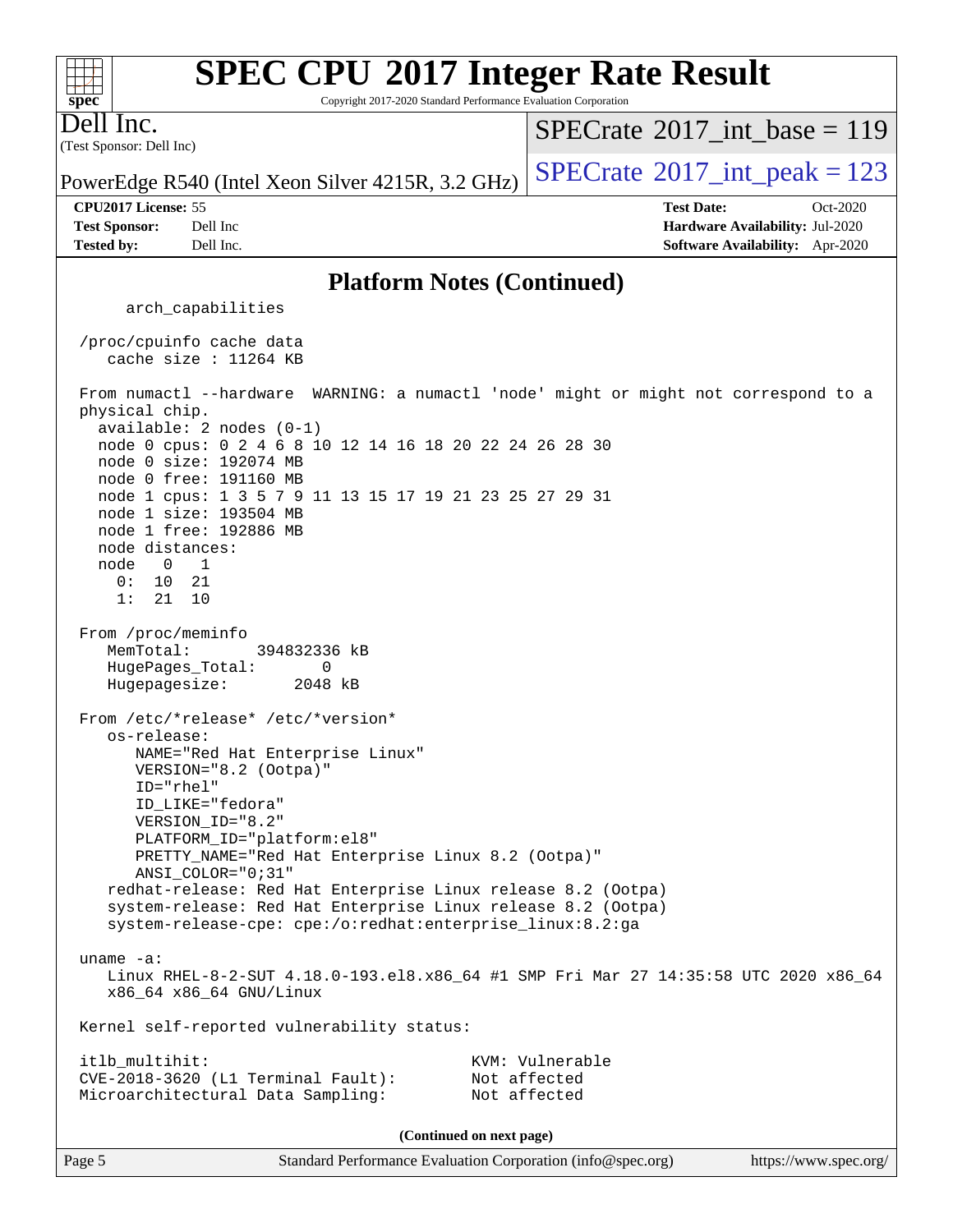Copyright 2017-2020 Standard Performance Evaluation Corporation

(Test Sponsor: Dell Inc) Dell Inc.

**[spec](http://www.spec.org/)**

 $+\ +$ 

 $SPECTate$ <sup>®</sup>[2017\\_int\\_base =](http://www.spec.org/auto/cpu2017/Docs/result-fields.html#SPECrate2017intbase) 119

PowerEdge R540 (Intel Xeon Silver 4215R, 3.2 GHz)  $\left|$  [SPECrate](http://www.spec.org/auto/cpu2017/Docs/result-fields.html#SPECrate2017intpeak)<sup>®</sup>[2017\\_int\\_peak = 1](http://www.spec.org/auto/cpu2017/Docs/result-fields.html#SPECrate2017intpeak)23

**[Tested by:](http://www.spec.org/auto/cpu2017/Docs/result-fields.html#Testedby)** Dell Inc. **[Software Availability:](http://www.spec.org/auto/cpu2017/Docs/result-fields.html#SoftwareAvailability)** Apr-2020

**[CPU2017 License:](http://www.spec.org/auto/cpu2017/Docs/result-fields.html#CPU2017License)** 55 **[Test Date:](http://www.spec.org/auto/cpu2017/Docs/result-fields.html#TestDate)** Oct-2020 **[Test Sponsor:](http://www.spec.org/auto/cpu2017/Docs/result-fields.html#TestSponsor)** Dell Inc **[Hardware Availability:](http://www.spec.org/auto/cpu2017/Docs/result-fields.html#HardwareAvailability)** Jul-2020

#### **[Platform Notes \(Continued\)](http://www.spec.org/auto/cpu2017/Docs/result-fields.html#PlatformNotes)**

 arch\_capabilities /proc/cpuinfo cache data cache size : 11264 KB From numactl --hardware WARNING: a numactl 'node' might or might not correspond to a physical chip. available: 2 nodes (0-1) node 0 cpus: 0 2 4 6 8 10 12 14 16 18 20 22 24 26 28 30 node 0 size: 192074 MB node 0 free: 191160 MB node 1 cpus: 1 3 5 7 9 11 13 15 17 19 21 23 25 27 29 31 node 1 size: 193504 MB node 1 free: 192886 MB node distances: node 0 1 0: 10 21 1: 21 10 From /proc/meminfo MemTotal: 394832336 kB HugePages\_Total: 0 Hugepagesize: 2048 kB From /etc/\*release\* /etc/\*version\* os-release: NAME="Red Hat Enterprise Linux" VERSION="8.2 (Ootpa)" ID="rhel" ID\_LIKE="fedora" VERSION\_ID="8.2" PLATFORM\_ID="platform:el8" PRETTY\_NAME="Red Hat Enterprise Linux 8.2 (Ootpa)" ANSI\_COLOR="0;31" redhat-release: Red Hat Enterprise Linux release 8.2 (Ootpa) system-release: Red Hat Enterprise Linux release 8.2 (Ootpa) system-release-cpe: cpe:/o:redhat:enterprise\_linux:8.2:ga uname -a: Linux RHEL-8-2-SUT 4.18.0-193.el8.x86\_64 #1 SMP Fri Mar 27 14:35:58 UTC 2020 x86\_64 x86\_64 x86\_64 GNU/Linux Kernel self-reported vulnerability status: itlb\_multihit: KVM: Vulnerable CVE-2018-3620 (L1 Terminal Fault): Not affected Microarchitectural Data Sampling: Not affected **(Continued on next page)**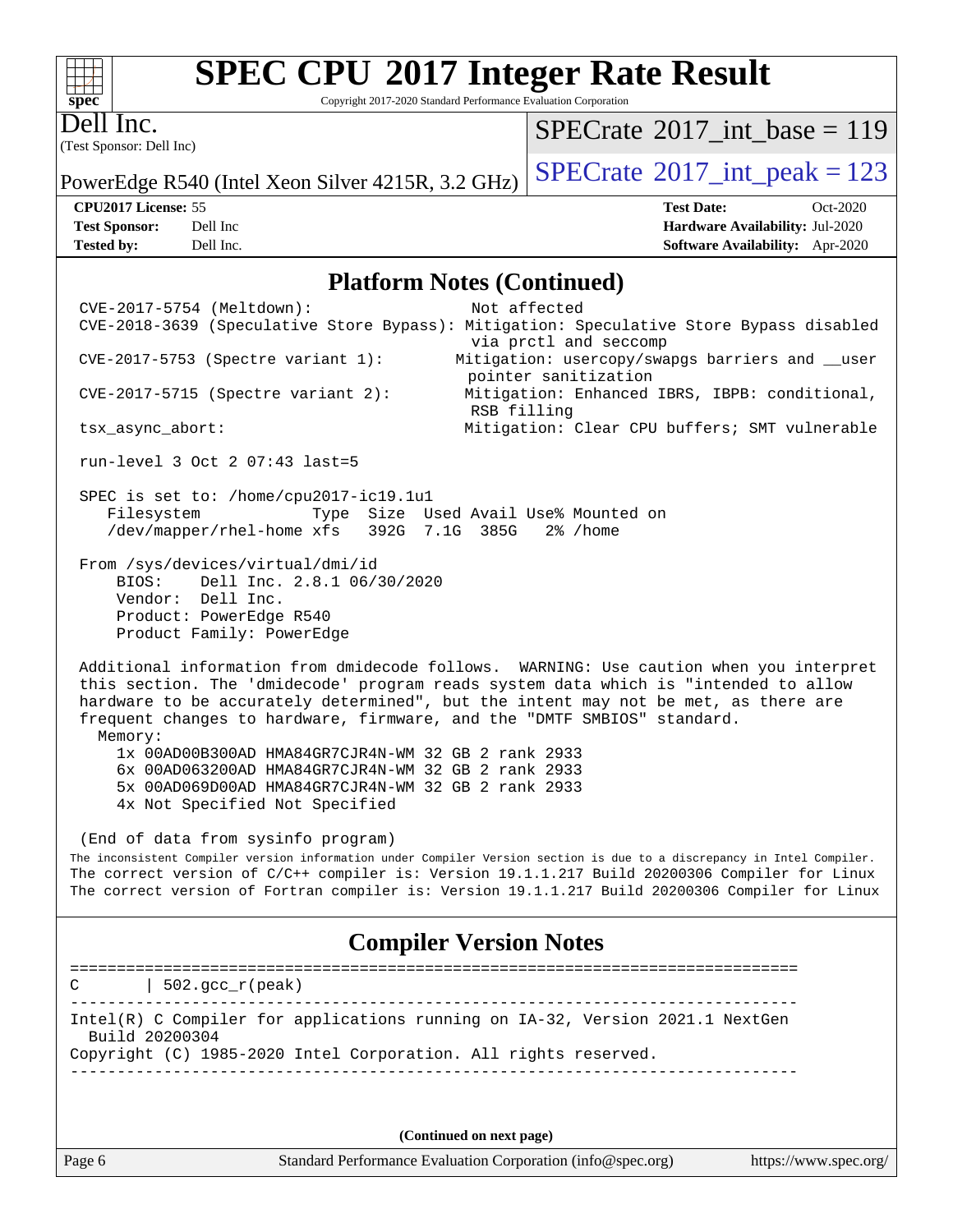#### $+\ +$ **[spec](http://www.spec.org/)**

# **[SPEC CPU](http://www.spec.org/auto/cpu2017/Docs/result-fields.html#SPECCPU2017IntegerRateResult)[2017 Integer Rate Result](http://www.spec.org/auto/cpu2017/Docs/result-fields.html#SPECCPU2017IntegerRateResult)**

Copyright 2017-2020 Standard Performance Evaluation Corporation

(Test Sponsor: Dell Inc) Dell Inc.

 $SPECrate$ <sup>®</sup>[2017\\_int\\_base =](http://www.spec.org/auto/cpu2017/Docs/result-fields.html#SPECrate2017intbase) 119

PowerEdge R540 (Intel Xeon Silver 4215R, 3.2 GHz)  $\left|$  [SPECrate](http://www.spec.org/auto/cpu2017/Docs/result-fields.html#SPECrate2017intpeak)<sup>®</sup>[2017\\_int\\_peak = 1](http://www.spec.org/auto/cpu2017/Docs/result-fields.html#SPECrate2017intpeak)23

**[Test Sponsor:](http://www.spec.org/auto/cpu2017/Docs/result-fields.html#TestSponsor)** Dell Inc **[Hardware Availability:](http://www.spec.org/auto/cpu2017/Docs/result-fields.html#HardwareAvailability)** Jul-2020 **[Tested by:](http://www.spec.org/auto/cpu2017/Docs/result-fields.html#Testedby)** Dell Inc. **[Software Availability:](http://www.spec.org/auto/cpu2017/Docs/result-fields.html#SoftwareAvailability)** Apr-2020

**[CPU2017 License:](http://www.spec.org/auto/cpu2017/Docs/result-fields.html#CPU2017License)** 55 **[Test Date:](http://www.spec.org/auto/cpu2017/Docs/result-fields.html#TestDate)** Oct-2020

#### **[Platform Notes \(Continued\)](http://www.spec.org/auto/cpu2017/Docs/result-fields.html#PlatformNotes)**

 CVE-2017-5754 (Meltdown): Not affected CVE-2018-3639 (Speculative Store Bypass): Mitigation: Speculative Store Bypass disabled via prctl and seccomp CVE-2017-5753 (Spectre variant 1): Mitigation: usercopy/swapgs barriers and \_\_user pointer sanitization CVE-2017-5715 (Spectre variant 2): Mitigation: Enhanced IBRS, IBPB: conditional, RSB filling tsx\_async\_abort: Mitigation: Clear CPU buffers; SMT vulnerable run-level 3 Oct 2 07:43 last=5 SPEC is set to: /home/cpu2017-ic19.1u1 Filesystem Type Size Used Avail Use% Mounted on /dev/mapper/rhel-home xfs 392G 7.1G 385G 2% /home From /sys/devices/virtual/dmi/id BIOS: Dell Inc. 2.8.1 06/30/2020 Vendor: Dell Inc. Product: PowerEdge R540 Product Family: PowerEdge Additional information from dmidecode follows. WARNING: Use caution when you interpret this section. The 'dmidecode' program reads system data which is "intended to allow hardware to be accurately determined", but the intent may not be met, as there are frequent changes to hardware, firmware, and the "DMTF SMBIOS" standard. Memory: 1x 00AD00B300AD HMA84GR7CJR4N-WM 32 GB 2 rank 2933 6x 00AD063200AD HMA84GR7CJR4N-WM 32 GB 2 rank 2933 5x 00AD069D00AD HMA84GR7CJR4N-WM 32 GB 2 rank 2933 4x Not Specified Not Specified (End of data from sysinfo program) The inconsistent Compiler version information under Compiler Version section is due to a discrepancy in Intel Compiler. The correct version of C/C++ compiler is: Version 19.1.1.217 Build 20200306 Compiler for Linux The correct version of Fortran compiler is: Version 19.1.1.217 Build 20200306 Compiler for Linux **[Compiler Version Notes](http://www.spec.org/auto/cpu2017/Docs/result-fields.html#CompilerVersionNotes)** ==============================================================================  $C \qquad | \quad 502.\text{gcc\_r}(\text{peak})$ ------------------------------------------------------------------------------ Intel(R) C Compiler for applications running on IA-32, Version 2021.1 NextGen Build 20200304 Copyright (C) 1985-2020 Intel Corporation. All rights reserved.

------------------------------------------------------------------------------

**(Continued on next page)**

Page 6 Standard Performance Evaluation Corporation [\(info@spec.org\)](mailto:info@spec.org) <https://www.spec.org/>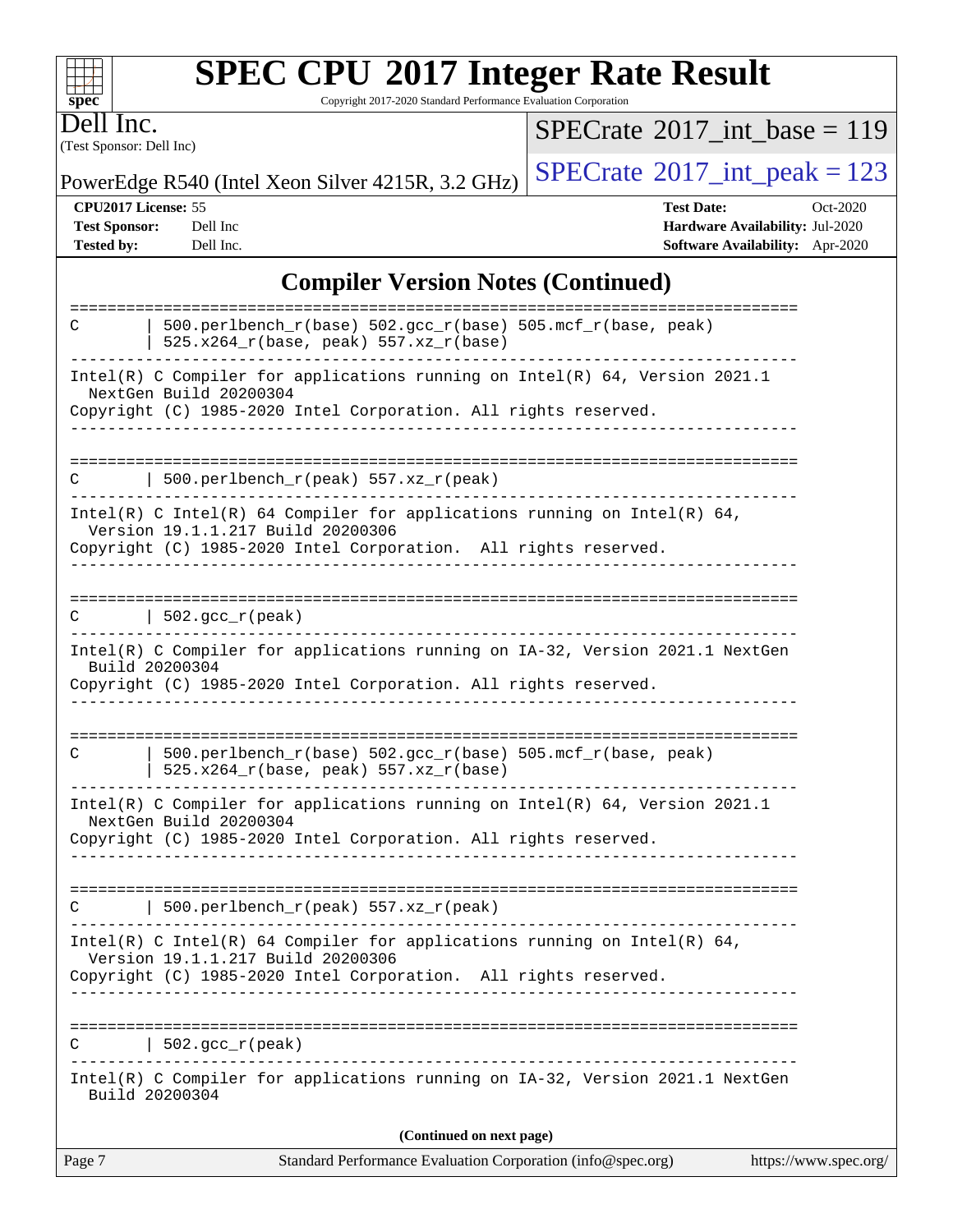Copyright 2017-2020 Standard Performance Evaluation Corporation

Dell Inc.

**[spec](http://www.spec.org/)**

 $\begin{matrix} & \ + \ + \end{matrix}$ 

(Test Sponsor: Dell Inc)

 $SPECrate$ <sup>®</sup>[2017\\_int\\_base =](http://www.spec.org/auto/cpu2017/Docs/result-fields.html#SPECrate2017intbase) 119

PowerEdge R540 (Intel Xeon Silver 4215R, 3.2 GHz)  $\left|$  [SPECrate](http://www.spec.org/auto/cpu2017/Docs/result-fields.html#SPECrate2017intpeak)<sup>®</sup>[2017\\_int\\_peak = 1](http://www.spec.org/auto/cpu2017/Docs/result-fields.html#SPECrate2017intpeak)23

**[CPU2017 License:](http://www.spec.org/auto/cpu2017/Docs/result-fields.html#CPU2017License)** 55 **[Test Date:](http://www.spec.org/auto/cpu2017/Docs/result-fields.html#TestDate)** Oct-2020 **[Test Sponsor:](http://www.spec.org/auto/cpu2017/Docs/result-fields.html#TestSponsor)** Dell Inc **[Hardware Availability:](http://www.spec.org/auto/cpu2017/Docs/result-fields.html#HardwareAvailability)** Jul-2020 **[Tested by:](http://www.spec.org/auto/cpu2017/Docs/result-fields.html#Testedby)** Dell Inc. **[Software Availability:](http://www.spec.org/auto/cpu2017/Docs/result-fields.html#SoftwareAvailability)** Apr-2020

### **[Compiler Version Notes \(Continued\)](http://www.spec.org/auto/cpu2017/Docs/result-fields.html#CompilerVersionNotes)**

| Page 7         | Standard Performance Evaluation Corporation (info@spec.org)                                                                                                                                                                                  | https://www.spec.org/ |
|----------------|----------------------------------------------------------------------------------------------------------------------------------------------------------------------------------------------------------------------------------------------|-----------------------|
|                | (Continued on next page)                                                                                                                                                                                                                     |                       |
| Build 20200304 | Intel(R) C Compiler for applications running on IA-32, Version 2021.1 NextGen                                                                                                                                                                |                       |
| C              | $502.\text{gcc}_r(\text{peak})$                                                                                                                                                                                                              |                       |
|                | Intel(R) C Intel(R) 64 Compiler for applications running on Intel(R) 64,<br>Version 19.1.1.217 Build 20200306<br>Copyright (C) 1985-2020 Intel Corporation. All rights reserved.<br>____________________________________<br>---------------- |                       |
|                | 500.perlbench_r(peak) $557. xz_r$ (peak)                                                                                                                                                                                                     |                       |
|                | Intel(R) C Compiler for applications running on Intel(R) $64$ , Version 2021.1<br>NextGen Build 20200304<br>Copyright (C) 1985-2020 Intel Corporation. All rights reserved.                                                                  |                       |
| C              | 500.perlbench_r(base) 502.gcc_r(base) 505.mcf_r(base, peak)<br>525.x264_r(base, peak) 557.xz_r(base)                                                                                                                                         |                       |
| Build 20200304 | Intel(R) C Compiler for applications running on IA-32, Version 2021.1 NextGen<br>Copyright (C) 1985-2020 Intel Corporation. All rights reserved.                                                                                             |                       |
| C              | $\vert$ 502.gcc_r(peak)                                                                                                                                                                                                                      |                       |
|                | Intel(R) C Intel(R) 64 Compiler for applications running on Intel(R) 64,<br>Version 19.1.1.217 Build 20200306<br>Copyright (C) 1985-2020 Intel Corporation. All rights reserved.                                                             |                       |
| C              | 500.perlbench_r(peak) 557.xz_r(peak)                                                                                                                                                                                                         |                       |
|                | Intel(R) C Compiler for applications running on Intel(R) $64$ , Version 2021.1<br>NextGen Build 20200304<br>Copyright (C) 1985-2020 Intel Corporation. All rights reserved.                                                                  |                       |
|                | 525.x264_r(base, peak) 557.xz_r(base)                                                                                                                                                                                                        |                       |
| C              | 500.perlbench_r(base) 502.gcc_r(base) 505.mcf_r(base, peak)                                                                                                                                                                                  |                       |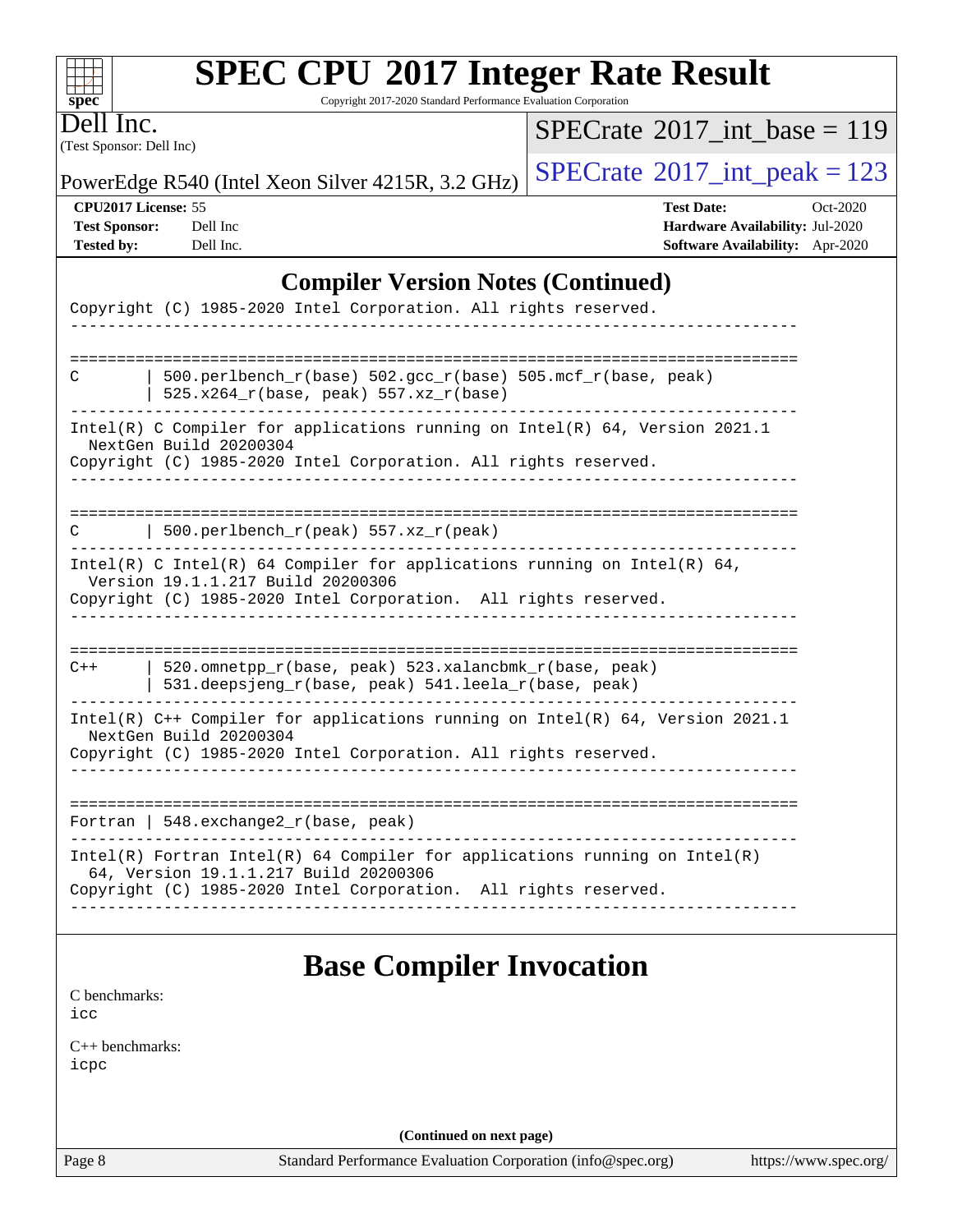|  | <b>SPEC CPU®2017 Integer Rate Result</b>                                                                                                                                                                                                  |  |  |
|--|-------------------------------------------------------------------------------------------------------------------------------------------------------------------------------------------------------------------------------------------|--|--|
|  | $\alpha$ is a constant of the constant $\alpha$ is $\alpha$ is the constant of the constant of the constant of the constant of the constant of the constant of the constant of the constant of the constant of the constant of the consta |  |  |

Copyright 2017-2020 Standard Performance Evaluation Corporation

Dell Inc.

**[spec](http://www.spec.org/)**

 $^{+++}$ 

(Test Sponsor: Dell Inc)

 $SPECrate$ <sup>®</sup>[2017\\_int\\_base =](http://www.spec.org/auto/cpu2017/Docs/result-fields.html#SPECrate2017intbase) 119

PowerEdge R540 (Intel Xeon Silver 4215R, 3.2 GHz)  $\left|$  [SPECrate](http://www.spec.org/auto/cpu2017/Docs/result-fields.html#SPECrate2017intpeak)<sup>®</sup>[2017\\_int\\_peak = 1](http://www.spec.org/auto/cpu2017/Docs/result-fields.html#SPECrate2017intpeak)23

**[CPU2017 License:](http://www.spec.org/auto/cpu2017/Docs/result-fields.html#CPU2017License)** 55 **[Test Date:](http://www.spec.org/auto/cpu2017/Docs/result-fields.html#TestDate)** Oct-2020 **[Test Sponsor:](http://www.spec.org/auto/cpu2017/Docs/result-fields.html#TestSponsor)** Dell Inc **[Hardware Availability:](http://www.spec.org/auto/cpu2017/Docs/result-fields.html#HardwareAvailability)** Jul-2020 **[Tested by:](http://www.spec.org/auto/cpu2017/Docs/result-fields.html#Testedby)** Dell Inc. **[Software Availability:](http://www.spec.org/auto/cpu2017/Docs/result-fields.html#SoftwareAvailability)** Apr-2020

### **[Compiler Version Notes \(Continued\)](http://www.spec.org/auto/cpu2017/Docs/result-fields.html#CompilerVersionNotes)**

| Copyright (C) 1985-2020 Intel Corporation. All rights reserved.                                                                                                                          |
|------------------------------------------------------------------------------------------------------------------------------------------------------------------------------------------|
| ----------------------<br>----------------------------                                                                                                                                   |
| 500.perlbench_r(base) 502.gcc_r(base) 505.mcf_r(base, peak)<br>C<br>525.x264_r(base, peak) 557.xz_r(base)                                                                                |
| Intel(R) C Compiler for applications running on Intel(R) 64, Version 2021.1<br>NextGen Build 20200304<br>Copyright (C) 1985-2020 Intel Corporation. All rights reserved.                 |
| 500.perlbench_r(peak) 557.xz_r(peak)<br>C                                                                                                                                                |
| Intel(R) C Intel(R) 64 Compiler for applications running on Intel(R) 64,<br>Version 19.1.1.217 Build 20200306<br>Copyright (C) 1985-2020 Intel Corporation. All rights reserved.         |
| 520.omnetpp_r(base, peak) 523.xalancbmk_r(base, peak)<br>$C++$<br>531.deepsjeng_r(base, peak) 541.leela_r(base, peak)                                                                    |
| Intel(R) C++ Compiler for applications running on Intel(R) 64, Version 2021.1<br>NextGen Build 20200304<br>Copyright (C) 1985-2020 Intel Corporation. All rights reserved.               |
| Fortran   548. exchange $2\lfloor r(\text{base}, \text{peak}) \rfloor$                                                                                                                   |
| $Intel(R)$ Fortran Intel(R) 64 Compiler for applications running on Intel(R)<br>64, Version 19.1.1.217 Build 20200306<br>Copyright (C) 1985-2020 Intel Corporation. All rights reserved. |
| <b>Base Compiler Invocation</b><br>C benchmarks:<br>icc                                                                                                                                  |

[C++ benchmarks:](http://www.spec.org/auto/cpu2017/Docs/result-fields.html#CXXbenchmarks) [icpc](http://www.spec.org/cpu2017/results/res2020q4/cpu2017-20201020-24223.flags.html#user_CXXbase_intel_icpc_c510b6838c7f56d33e37e94d029a35b4a7bccf4766a728ee175e80a419847e808290a9b78be685c44ab727ea267ec2f070ec5dc83b407c0218cded6866a35d07)

**(Continued on next page)**

Page 8 Standard Performance Evaluation Corporation [\(info@spec.org\)](mailto:info@spec.org) <https://www.spec.org/>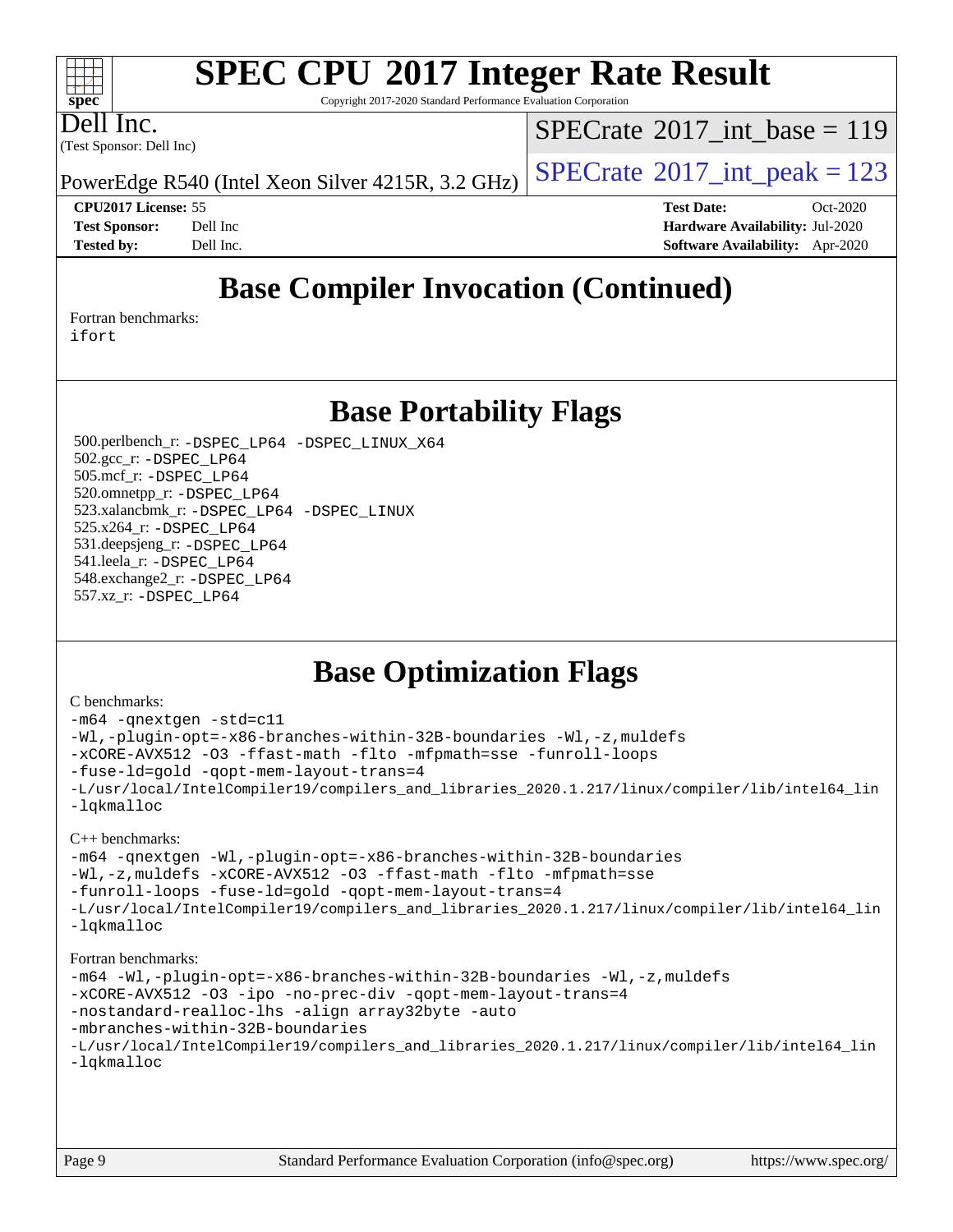Copyright 2017-2020 Standard Performance Evaluation Corporation

Dell Inc.

**[spec](http://www.spec.org/)**

 $\pm\pm\tau$ 

(Test Sponsor: Dell Inc)

 $SPECTate$ <sup>®</sup>[2017\\_int\\_base =](http://www.spec.org/auto/cpu2017/Docs/result-fields.html#SPECrate2017intbase) 119

PowerEdge R540 (Intel Xeon Silver 4215R, 3.2 GHz)  $\left|$  [SPECrate](http://www.spec.org/auto/cpu2017/Docs/result-fields.html#SPECrate2017intpeak)<sup>®</sup>[2017\\_int\\_peak = 1](http://www.spec.org/auto/cpu2017/Docs/result-fields.html#SPECrate2017intpeak)23

**[CPU2017 License:](http://www.spec.org/auto/cpu2017/Docs/result-fields.html#CPU2017License)** 55 **[Test Date:](http://www.spec.org/auto/cpu2017/Docs/result-fields.html#TestDate)** Oct-2020

**[Test Sponsor:](http://www.spec.org/auto/cpu2017/Docs/result-fields.html#TestSponsor)** Dell Inc **[Hardware Availability:](http://www.spec.org/auto/cpu2017/Docs/result-fields.html#HardwareAvailability)** Jul-2020 **[Tested by:](http://www.spec.org/auto/cpu2017/Docs/result-fields.html#Testedby)** Dell Inc. **[Software Availability:](http://www.spec.org/auto/cpu2017/Docs/result-fields.html#SoftwareAvailability)** Apr-2020

## **[Base Compiler Invocation \(Continued\)](http://www.spec.org/auto/cpu2017/Docs/result-fields.html#BaseCompilerInvocation)**

[Fortran benchmarks](http://www.spec.org/auto/cpu2017/Docs/result-fields.html#Fortranbenchmarks):

[ifort](http://www.spec.org/cpu2017/results/res2020q4/cpu2017-20201020-24223.flags.html#user_FCbase_intel_ifort_8111460550e3ca792625aed983ce982f94888b8b503583aa7ba2b8303487b4d8a21a13e7191a45c5fd58ff318f48f9492884d4413fa793fd88dd292cad7027ca)

### **[Base Portability Flags](http://www.spec.org/auto/cpu2017/Docs/result-fields.html#BasePortabilityFlags)**

 500.perlbench\_r: [-DSPEC\\_LP64](http://www.spec.org/cpu2017/results/res2020q4/cpu2017-20201020-24223.flags.html#b500.perlbench_r_basePORTABILITY_DSPEC_LP64) [-DSPEC\\_LINUX\\_X64](http://www.spec.org/cpu2017/results/res2020q4/cpu2017-20201020-24223.flags.html#b500.perlbench_r_baseCPORTABILITY_DSPEC_LINUX_X64) 502.gcc\_r: [-DSPEC\\_LP64](http://www.spec.org/cpu2017/results/res2020q4/cpu2017-20201020-24223.flags.html#suite_basePORTABILITY502_gcc_r_DSPEC_LP64) 505.mcf\_r: [-DSPEC\\_LP64](http://www.spec.org/cpu2017/results/res2020q4/cpu2017-20201020-24223.flags.html#suite_basePORTABILITY505_mcf_r_DSPEC_LP64) 520.omnetpp\_r: [-DSPEC\\_LP64](http://www.spec.org/cpu2017/results/res2020q4/cpu2017-20201020-24223.flags.html#suite_basePORTABILITY520_omnetpp_r_DSPEC_LP64) 523.xalancbmk\_r: [-DSPEC\\_LP64](http://www.spec.org/cpu2017/results/res2020q4/cpu2017-20201020-24223.flags.html#suite_basePORTABILITY523_xalancbmk_r_DSPEC_LP64) [-DSPEC\\_LINUX](http://www.spec.org/cpu2017/results/res2020q4/cpu2017-20201020-24223.flags.html#b523.xalancbmk_r_baseCXXPORTABILITY_DSPEC_LINUX) 525.x264\_r: [-DSPEC\\_LP64](http://www.spec.org/cpu2017/results/res2020q4/cpu2017-20201020-24223.flags.html#suite_basePORTABILITY525_x264_r_DSPEC_LP64) 531.deepsjeng\_r: [-DSPEC\\_LP64](http://www.spec.org/cpu2017/results/res2020q4/cpu2017-20201020-24223.flags.html#suite_basePORTABILITY531_deepsjeng_r_DSPEC_LP64) 541.leela\_r: [-DSPEC\\_LP64](http://www.spec.org/cpu2017/results/res2020q4/cpu2017-20201020-24223.flags.html#suite_basePORTABILITY541_leela_r_DSPEC_LP64) 548.exchange2\_r: [-DSPEC\\_LP64](http://www.spec.org/cpu2017/results/res2020q4/cpu2017-20201020-24223.flags.html#suite_basePORTABILITY548_exchange2_r_DSPEC_LP64) 557.xz\_r: [-DSPEC\\_LP64](http://www.spec.org/cpu2017/results/res2020q4/cpu2017-20201020-24223.flags.html#suite_basePORTABILITY557_xz_r_DSPEC_LP64)

### **[Base Optimization Flags](http://www.spec.org/auto/cpu2017/Docs/result-fields.html#BaseOptimizationFlags)**

#### [C benchmarks](http://www.spec.org/auto/cpu2017/Docs/result-fields.html#Cbenchmarks):

```
-m64 -qnextgen -std=c11
-Wl,-plugin-opt=-x86-branches-within-32B-boundaries -Wl,-z,muldefs
-xCORE-AVX512 -O3 -ffast-math -flto -mfpmath=sse -funroll-loops
-fuse-ld=gold -qopt-mem-layout-trans=4
-L/usr/local/IntelCompiler19/compilers_and_libraries_2020.1.217/linux/compiler/lib/intel64_lin
-lqkmalloc
```
#### [C++ benchmarks](http://www.spec.org/auto/cpu2017/Docs/result-fields.html#CXXbenchmarks):

```
-m64 -qnextgen -Wl,-plugin-opt=-x86-branches-within-32B-boundaries
-Wl,-z,muldefs -xCORE-AVX512 -O3 -ffast-math -flto -mfpmath=sse
-funroll-loops -fuse-ld=gold -qopt-mem-layout-trans=4
-L/usr/local/IntelCompiler19/compilers_and_libraries_2020.1.217/linux/compiler/lib/intel64_lin
-lqkmalloc
```
#### [Fortran benchmarks:](http://www.spec.org/auto/cpu2017/Docs/result-fields.html#Fortranbenchmarks)

```
-m64 -Wl,-plugin-opt=-x86-branches-within-32B-boundaries -Wl,-z,muldefs
-xCORE-AVX512 -O3 -ipo -no-prec-div -qopt-mem-layout-trans=4
-nostandard-realloc-lhs -align array32byte -auto
-mbranches-within-32B-boundaries
-L/usr/local/IntelCompiler19/compilers_and_libraries_2020.1.217/linux/compiler/lib/intel64_lin
-lqkmalloc
```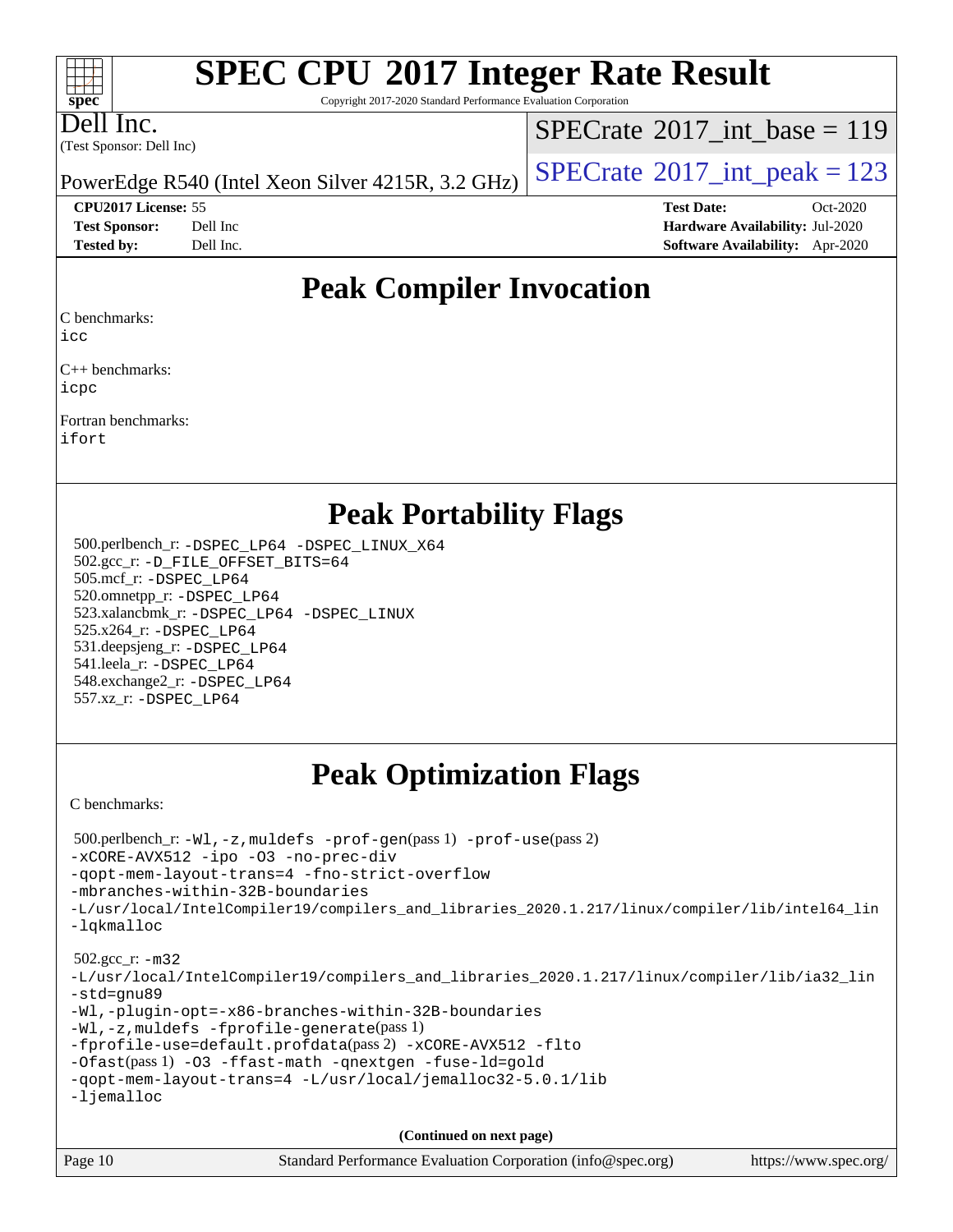Copyright 2017-2020 Standard Performance Evaluation Corporation

Dell Inc.

(Test Sponsor: Dell Inc)

 $SPECTate@2017_int\_base = 119$ 

PowerEdge R540 (Intel Xeon Silver 4215R, 3.2 GHz)  $\left|$  [SPECrate](http://www.spec.org/auto/cpu2017/Docs/result-fields.html#SPECrate2017intpeak)<sup>®</sup>[2017\\_int\\_peak = 1](http://www.spec.org/auto/cpu2017/Docs/result-fields.html#SPECrate2017intpeak)23

**[Tested by:](http://www.spec.org/auto/cpu2017/Docs/result-fields.html#Testedby)** Dell Inc. **[Software Availability:](http://www.spec.org/auto/cpu2017/Docs/result-fields.html#SoftwareAvailability)** Apr-2020

**[CPU2017 License:](http://www.spec.org/auto/cpu2017/Docs/result-fields.html#CPU2017License)** 55 **[Test Date:](http://www.spec.org/auto/cpu2017/Docs/result-fields.html#TestDate)** Oct-2020 **[Test Sponsor:](http://www.spec.org/auto/cpu2017/Docs/result-fields.html#TestSponsor)** Dell Inc **[Hardware Availability:](http://www.spec.org/auto/cpu2017/Docs/result-fields.html#HardwareAvailability)** Jul-2020

### **[Peak Compiler Invocation](http://www.spec.org/auto/cpu2017/Docs/result-fields.html#PeakCompilerInvocation)**

[C benchmarks](http://www.spec.org/auto/cpu2017/Docs/result-fields.html#Cbenchmarks):

[icc](http://www.spec.org/cpu2017/results/res2020q4/cpu2017-20201020-24223.flags.html#user_CCpeak_intel_icc_66fc1ee009f7361af1fbd72ca7dcefbb700085f36577c54f309893dd4ec40d12360134090235512931783d35fd58c0460139e722d5067c5574d8eaf2b3e37e92)

[C++ benchmarks](http://www.spec.org/auto/cpu2017/Docs/result-fields.html#CXXbenchmarks): [icpc](http://www.spec.org/cpu2017/results/res2020q4/cpu2017-20201020-24223.flags.html#user_CXXpeak_intel_icpc_c510b6838c7f56d33e37e94d029a35b4a7bccf4766a728ee175e80a419847e808290a9b78be685c44ab727ea267ec2f070ec5dc83b407c0218cded6866a35d07)

[Fortran benchmarks:](http://www.spec.org/auto/cpu2017/Docs/result-fields.html#Fortranbenchmarks) [ifort](http://www.spec.org/cpu2017/results/res2020q4/cpu2017-20201020-24223.flags.html#user_FCpeak_intel_ifort_8111460550e3ca792625aed983ce982f94888b8b503583aa7ba2b8303487b4d8a21a13e7191a45c5fd58ff318f48f9492884d4413fa793fd88dd292cad7027ca)

### **[Peak Portability Flags](http://www.spec.org/auto/cpu2017/Docs/result-fields.html#PeakPortabilityFlags)**

 500.perlbench\_r: [-DSPEC\\_LP64](http://www.spec.org/cpu2017/results/res2020q4/cpu2017-20201020-24223.flags.html#b500.perlbench_r_peakPORTABILITY_DSPEC_LP64) [-DSPEC\\_LINUX\\_X64](http://www.spec.org/cpu2017/results/res2020q4/cpu2017-20201020-24223.flags.html#b500.perlbench_r_peakCPORTABILITY_DSPEC_LINUX_X64) 502.gcc\_r: [-D\\_FILE\\_OFFSET\\_BITS=64](http://www.spec.org/cpu2017/results/res2020q4/cpu2017-20201020-24223.flags.html#user_peakPORTABILITY502_gcc_r_file_offset_bits_64_5ae949a99b284ddf4e95728d47cb0843d81b2eb0e18bdfe74bbf0f61d0b064f4bda2f10ea5eb90e1dcab0e84dbc592acfc5018bc955c18609f94ddb8d550002c) 505.mcf\_r: [-DSPEC\\_LP64](http://www.spec.org/cpu2017/results/res2020q4/cpu2017-20201020-24223.flags.html#suite_peakPORTABILITY505_mcf_r_DSPEC_LP64) 520.omnetpp\_r: [-DSPEC\\_LP64](http://www.spec.org/cpu2017/results/res2020q4/cpu2017-20201020-24223.flags.html#suite_peakPORTABILITY520_omnetpp_r_DSPEC_LP64) 523.xalancbmk\_r: [-DSPEC\\_LP64](http://www.spec.org/cpu2017/results/res2020q4/cpu2017-20201020-24223.flags.html#suite_peakPORTABILITY523_xalancbmk_r_DSPEC_LP64) [-DSPEC\\_LINUX](http://www.spec.org/cpu2017/results/res2020q4/cpu2017-20201020-24223.flags.html#b523.xalancbmk_r_peakCXXPORTABILITY_DSPEC_LINUX) 525.x264\_r: [-DSPEC\\_LP64](http://www.spec.org/cpu2017/results/res2020q4/cpu2017-20201020-24223.flags.html#suite_peakPORTABILITY525_x264_r_DSPEC_LP64) 531.deepsjeng\_r: [-DSPEC\\_LP64](http://www.spec.org/cpu2017/results/res2020q4/cpu2017-20201020-24223.flags.html#suite_peakPORTABILITY531_deepsjeng_r_DSPEC_LP64) 541.leela\_r: [-DSPEC\\_LP64](http://www.spec.org/cpu2017/results/res2020q4/cpu2017-20201020-24223.flags.html#suite_peakPORTABILITY541_leela_r_DSPEC_LP64) 548.exchange2\_r: [-DSPEC\\_LP64](http://www.spec.org/cpu2017/results/res2020q4/cpu2017-20201020-24223.flags.html#suite_peakPORTABILITY548_exchange2_r_DSPEC_LP64) 557.xz\_r: [-DSPEC\\_LP64](http://www.spec.org/cpu2017/results/res2020q4/cpu2017-20201020-24223.flags.html#suite_peakPORTABILITY557_xz_r_DSPEC_LP64)

## **[Peak Optimization Flags](http://www.spec.org/auto/cpu2017/Docs/result-fields.html#PeakOptimizationFlags)**

[C benchmarks](http://www.spec.org/auto/cpu2017/Docs/result-fields.html#Cbenchmarks):

| Page 10                                                                               | Standard Performance Evaluation Corporation (info@spec.org)                                                                                                                                                                                                                                                                                                                                        | https://www.spec.org/ |
|---------------------------------------------------------------------------------------|----------------------------------------------------------------------------------------------------------------------------------------------------------------------------------------------------------------------------------------------------------------------------------------------------------------------------------------------------------------------------------------------------|-----------------------|
|                                                                                       | (Continued on next page)                                                                                                                                                                                                                                                                                                                                                                           |                       |
| 502.gcc_r: $-m32$<br>-std=gnu89<br>$-I$ jemalloc                                      | -L/usr/local/IntelCompiler19/compilers and libraries 2020.1.217/linux/compiler/lib/ia32 lin<br>-Wl,-plugin-opt=-x86-branches-within-32B-boundaries<br>$-Wl$ , $-z$ , muldefs $-fprotile-generate(pass 1)$<br>-fprofile-use=default.profdata(pass 2) -xCORE-AVX512 -flto<br>$-0$ fast(pass 1) -03 -ffast-math -qnextgen -fuse-1d=gold<br>-qopt-mem-layout-trans=4 -L/usr/local/jemalloc32-5.0.1/lib |                       |
| -xCORE-AVX512 -ipo -03 -no-prec-div<br>-mbranches-within-32B-boundaries<br>-lgkmalloc | $500.$ perlbench_r: -Wl, -z, muldefs -prof-qen(pass 1) -prof-use(pass 2)<br>-gopt-mem-layout-trans=4 -fno-strict-overflow<br>-L/usr/local/IntelCompiler19/compilers_and_libraries_2020.1.217/linux/compiler/lib/intel64_lin                                                                                                                                                                        |                       |